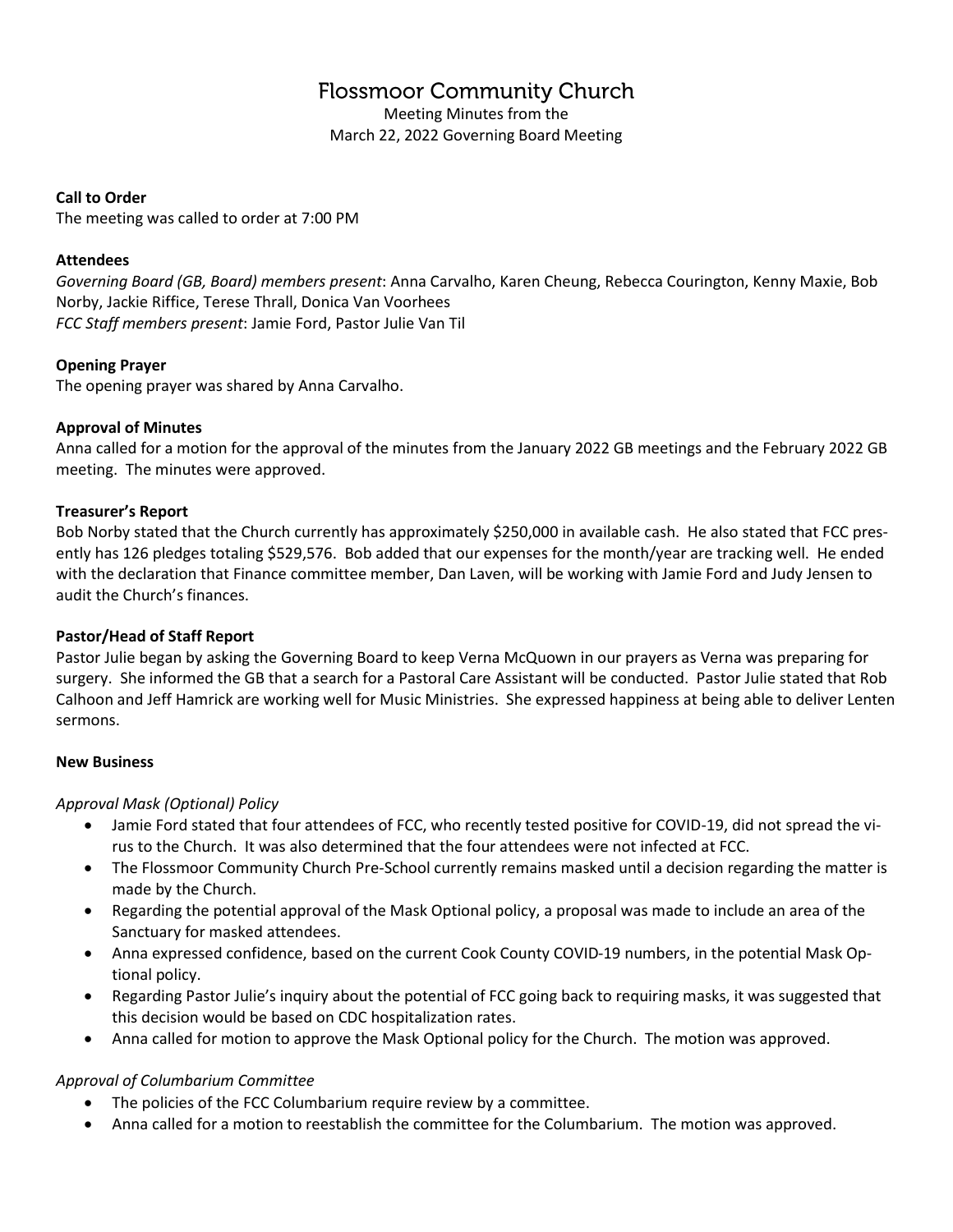# **Flossmoor Community Church**

Meeting Minutes from the March 22, 2022 Governing Board Meeting

### **Call to Order**

The meeting was called to order at 7:00 PM

# **Attendees**

*Governing Board (GB, Board) members present*: Anna Carvalho, Karen Cheung, Rebecca Courington, Kenny Maxie, Bob Norby, Jackie Riffice, Terese Thrall, Donica Van Voorhees *FCC Staff members present*: Jamie Ford, Pastor Julie Van Til

# **Opening Prayer**

The opening prayer was shared by Anna Carvalho.

# **Approval of Minutes**

Anna called for a motion for the approval of the minutes from the January 2022 GB meetings and the February 2022 GB meeting. The minutes were approved.

## **Treasurer's Report**

Bob Norby stated that the Church currently has approximately \$250,000 in available cash. He also stated that FCC presently has 126 pledges totaling \$529,576. Bob added that our expenses for the month/year are tracking well. He ended with the declaration that Finance committee member, Dan Laven, will be working with Jamie Ford and Judy Jensen to audit the Church's finances.

# **Pastor/Head of Staff Report**

Pastor Julie began by asking the Governing Board to keep Verna McQuown in our prayers as Verna was preparing for surgery. She informed the GB that a search for a Pastoral Care Assistant will be conducted. Pastor Julie stated that Rob Calhoon and Jeff Hamrick are working well for Music Ministries. She expressed happiness at being able to deliver Lenten sermons.

#### **New Business**

# *Approval Mask (Optional) Policy*

- Jamie Ford stated that four attendees of FCC, who recently tested positive for COVID-19, did not spread the virus to the Church. It was also determined that the four attendees were not infected at FCC.
- The Flossmoor Community Church Pre-School currently remains masked until a decision regarding the matter is made by the Church.
- Regarding the potential approval of the Mask Optional policy, a proposal was made to include an area of the Sanctuary for masked attendees.
- Anna expressed confidence, based on the current Cook County COVID-19 numbers, in the potential Mask Optional policy.
- Regarding Pastor Julie's inquiry about the potential of FCC going back to requiring masks, it was suggested that this decision would be based on CDC hospitalization rates.
- Anna called for motion to approve the Mask Optional policy for the Church. The motion was approved.

#### *Approval of Columbarium Committee*

- The policies of the FCC Columbarium require review by a committee.
- Anna called for a motion to reestablish the committee for the Columbarium. The motion was approved.